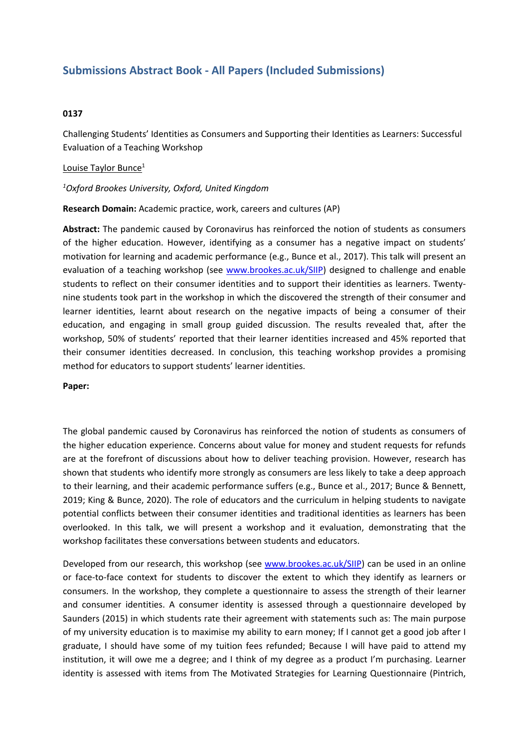# **Submissions Abstract Book - All Papers (Included Submissions)**

## **0137**

Challenging Students' Identities as Consumers and Supporting their Identities as Learners: Successful Evaluation of <sup>a</sup> Teaching Workshop

### Louise Taylor Bunce<sup>1</sup>

### *1 Oxford Brookes University, Oxford, United Kingdom*

**Research Domain:** Academic practice, work, careers and cultures (AP)

**Abstract:** The pandemic caused by Coronavirus has reinforced the notion of students as consumers of the higher education. However, identifying as <sup>a</sup> consumer has <sup>a</sup> negative impact on students' motivation for learning and academic performance (e.g., Bunce et al., 2017). This talk will present an evaluation of <sup>a</sup> teaching workshop (see [www.brookes.ac.uk/SIIP](http://www.brookes.ac.uk/SIIP)) designed to challenge and enable students to reflect on their consumer identities and to support their identities as learners. Twentynine students took part in the workshop in which the discovered the strength of their consumer and learner identities, learnt about research on the negative impacts of being <sup>a</sup> consumer of their education, and engaging in small group guided discussion. The results revealed that, after the workshop, 50% of students' reported that their learner identities increased and 45% reported that their consumer identities decreased. In conclusion, this teaching workshop provides <sup>a</sup> promising method for educators to support students' learner identities.

#### **Paper:**

The global pandemic caused by Coronavirus has reinforced the notion of students as consumers of the higher education experience. Concerns about value for money and student requests for refunds are at the forefront of discussions about how to deliver teaching provision. However, research has shown that students who identify more strongly as consumers are less likely to take <sup>a</sup> deep approach to their learning, and their academic performance suffers (e.g., Bunce et al., 2017; Bunce & Bennett, 2019; King & Bunce, 2020). The role of educators and the curriculum in helping students to navigate potential conflicts between their consumer identities and traditional identities as learners has been overlooked. In this talk, we will present <sup>a</sup> workshop and it evaluation, demonstrating that the workshop facilitates these conversations between students and educators.

Developed from our research, this workshop (see [www.brookes.ac.uk/SIIP](http://www.brookes.ac.uk/SIIP)) can be used in an online or face-to-face context for students to discover the extent to which they identify as learners or consumers. In the workshop, they complete <sup>a</sup> questionnaire to assess the strength of their learner and consumer identities. A consumer identity is assessed through <sup>a</sup> questionnaire developed by Saunders (2015) in which students rate their agreement with statements such as: The main purpose of my university education is to maximise my ability to earn money; If I cannot get <sup>a</sup> good job after I graduate, I should have some of my tuition fees refunded; Because I will have paid to attend my institution, it will owe me <sup>a</sup> degree; and I think of my degree as <sup>a</sup> product I'm purchasing. Learner identity is assessed with items from The Motivated Strategies for Learning Questionnaire (Pintrich,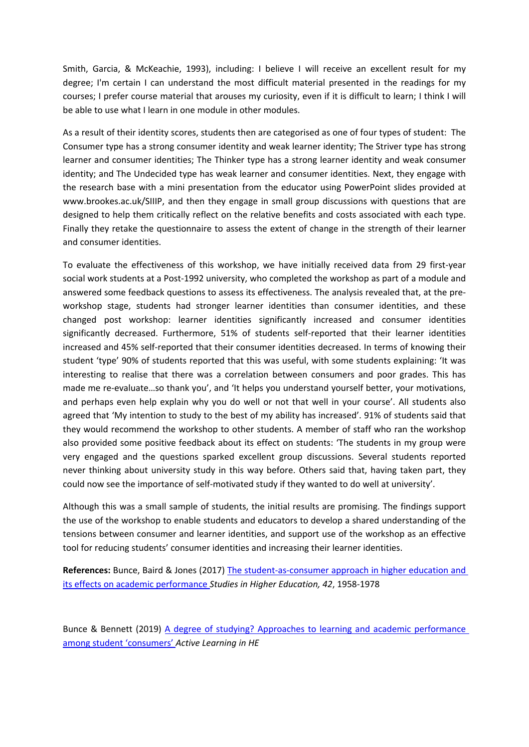Smith, Garcia, & McKeachie, 1993), including: I believe I will receive an excellent result for my degree; I'm certain I can understand the most difficult material presented in the readings for my courses; I prefer course material that arouses my curiosity, even if it is difficult to learn; I think I will be able to use what I learn in one module in other modules.

As <sup>a</sup> result of their identity scores, students then are categorised as one of four types of student: The Consumer type has <sup>a</sup> strong consumer identity and weak learner identity; The Striver type has strong learner and consumer identities; The Thinker type has <sup>a</sup> strong learner identity and weak consumer identity; and The Undecided type has weak learner and consumer identities. Next, they engage with the research base with <sup>a</sup> mini presentation from the educator using PowerPoint slides provided at www.brookes.ac.uk/SIIIP, and then they engage in small group discussions with questions that are designed to help them critically reflect on the relative benefits and costs associated with each type. Finally they retake the questionnaire to assess the extent of change in the strength of their learner and consumer identities.

To evaluate the effectiveness of this workshop, we have initially received data from 29 first-year social work students at <sup>a</sup> Post-1992 university, who completed the workshop as part of <sup>a</sup> module and answered some feedback questions to assess its effectiveness. The analysis revealed that, at the preworkshop stage, students had stronger learner identities than consumer identities, and these changed post workshop: learner identities significantly increased and consumer identities significantly decreased. Furthermore, 51% of students self-reported that their learner identities increased and 45% self-reported that their consumer identities decreased. In terms of knowing their student 'type' 90% of students reported that this was useful, with some students explaining: 'It was interesting to realise that there was <sup>a</sup> correlation between consumers and poor grades. This has made me re-evaluate…so thank you', and 'It helps you understand yourself better, your motivations, and perhaps even help explain why you do well or not that well in your course'. All students also agreed that 'My intention to study to the best of my ability has increased'. 91% of students said that they would recommend the workshop to other students. A member of staff who ran the workshop also provided some positive feedback about its effect on students: 'The students in my group were very engaged and the questions sparked excellent group discussions. Several students reported never thinking about university study in this way before. Others said that, having taken part, they could now see the importance of self-motivated study if they wanted to do well at university'.

Although this was <sup>a</sup> small sample of students, the initial results are promising. The findings support the use of the workshop to enable students and educators to develop <sup>a</sup> shared understanding of the tensions between consumer and learner identities, and support use of the workshop as an effective tool for reducing students' consumer identities and increasing their learner identities.

**References:** Bunce, Baird & Jones (2017) The [student-as-consumer](https://www.tandfonline.com/doi/full/10.1080/03075079.2015.1127908) approach in higher education and its effects on academic [performance](https://www.tandfonline.com/doi/full/10.1080/03075079.2015.1127908) *Studies in Higher Education, 42*, 1958-1978

Bunce & Bennett (2019) A degree of studying? [Approaches](https://journals.sagepub.com/eprint/U9Y7R6PUQ7GRPG69NWTM/full) to learning and academic [performance](https://journals.sagepub.com/eprint/U9Y7R6PUQ7GRPG69NWTM/full) [among](https://journals.sagepub.com/eprint/U9Y7R6PUQ7GRPG69NWTM/full) [student](https://journals.sagepub.com/eprint/U9Y7R6PUQ7GRPG69NWTM/full) ['consumers'](https://journals.sagepub.com/eprint/U9Y7R6PUQ7GRPG69NWTM/full) *Active Learning in HE*